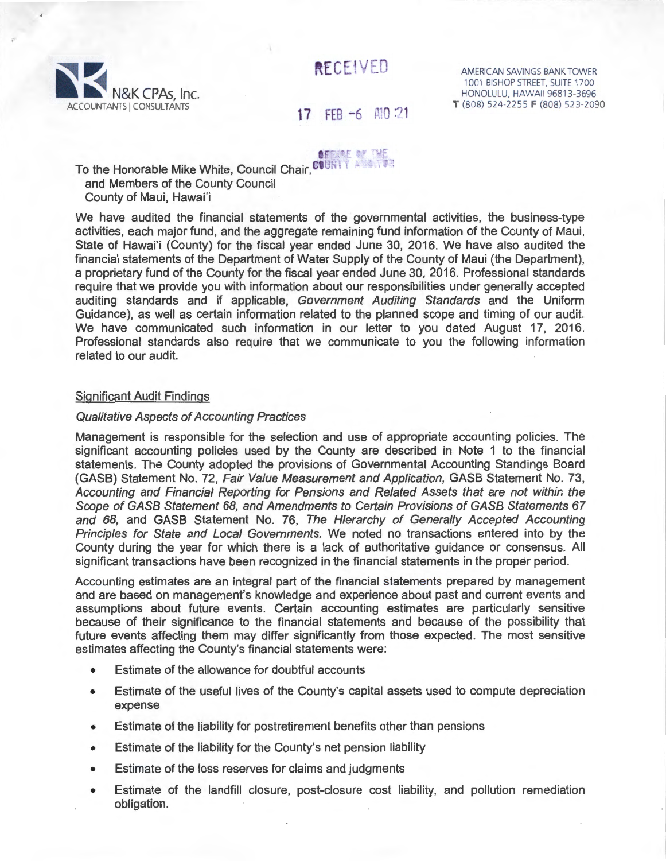RECEIVED



AMERICAN SAVINGS BANK TOWER 1001 BISHOP STREET, SUITE 1700 HONOLULU, HAWAII 96813-3696 **T** (808) 524-2255 **F** (808) 523-2090

# 17 FEB -6 Al0 21

**ABRINE OF THE** 

To the Honorable Mike White, Council Chair, COUNTY and Members of the County Council County of Maui, Hawai'i

We have audited the financial statements of the governmental activities, the business-type activities, each major fund, and the aggregate remaining fund information of the County of Maui, State of Hawai'i (County) for the fiscal year ended June 30, 2016. We have also audited the financial statements of the Department of Water Supply of the County of Maui (the Department), a proprietary fund of the County for the fiscal year ended June 30, 2016. Professional standards require that we provide you with information about our responsibilities under generally accepted auditing standards and if applicable, Government Auditing Standards and the Uniform Guidance), as well as certain information related to the planned scope and timing of our audit We have communicated such information in our letter to you dated August 17, 2016. Professional standards also require that we communicate to you the following information related to our audit

## Significant Audit Findings

# Qualitative Aspects of Accounting Practices

Management is responsible for the selection and use of appropriate accounting policies. The significant accounting policies used by the County are described in Note 1 to the financial statements. The County adopted the provisions of Governmental Accounting Standings Board (GASS) Statement No. 72, Fair Value Measurement and Application, GASS Statement No. 73, Accounting and Financial Reporting for Pensions and Related Assets that are not within the Scope of GASB Statement 68, and Amendments to Certain Provisions of GASB Statements 67 and 68, and GASS Statement No. 76, The Hierarchy of Generally Accepted Accounting Principles for State and Local Governments. We noted no transactions entered into by the County during the year for which there is a lack of authoritative guidance or consensus. All significant transactions have been recognized in the financial statements in the proper period.

Accounting estimates are an integral part of the financial statements prepared by management and are based on management's knowledge and experience about past and current events and assumptions about future events. Certain accounting estimates are particularly sensitive because of their significance to the financial statements and because of the possibility that future events affecting them may differ significantly from those expected. The most sensitive estimates affecting the County's financial statements were:

- Estimate of the allowance for doubtful accounts
- Estimate of the useful lives of the County's capital assets used to compute depreciation expense
- Estimate of the liability for postretirement benefits other than pensions
- Estimate of the liability for the County's net pension liability
- Estimate of the loss reserves for claims and judgments
- Estimate of the landfill closure, post-closure cost liability, and pollution remediation obligation.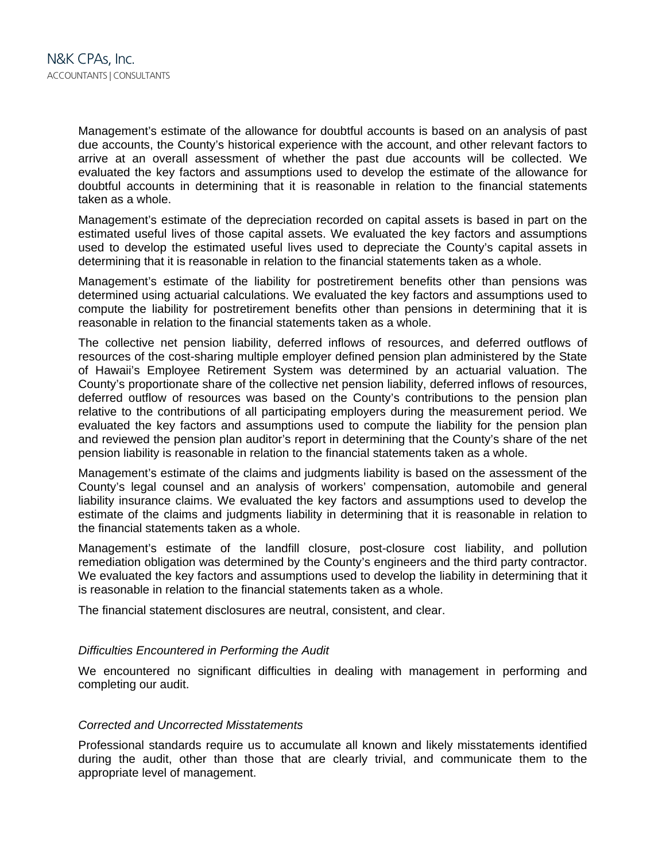Management's estimate of the allowance for doubtful accounts is based on an analysis of past due accounts, the County's historical experience with the account, and other relevant factors to arrive at an overall assessment of whether the past due accounts will be collected. We evaluated the key factors and assumptions used to develop the estimate of the allowance for doubtful accounts in determining that it is reasonable in relation to the financial statements taken as a whole.

Management's estimate of the depreciation recorded on capital assets is based in part on the estimated useful lives of those capital assets. We evaluated the key factors and assumptions used to develop the estimated useful lives used to depreciate the County's capital assets in determining that it is reasonable in relation to the financial statements taken as a whole.

Management's estimate of the liability for postretirement benefits other than pensions was determined using actuarial calculations. We evaluated the key factors and assumptions used to compute the liability for postretirement benefits other than pensions in determining that it is reasonable in relation to the financial statements taken as a whole.

The collective net pension liability, deferred inflows of resources, and deferred outflows of resources of the cost-sharing multiple employer defined pension plan administered by the State of Hawaii's Employee Retirement System was determined by an actuarial valuation. The County's proportionate share of the collective net pension liability, deferred inflows of resources, deferred outflow of resources was based on the County's contributions to the pension plan relative to the contributions of all participating employers during the measurement period. We evaluated the key factors and assumptions used to compute the liability for the pension plan and reviewed the pension plan auditor's report in determining that the County's share of the net pension liability is reasonable in relation to the financial statements taken as a whole.

Management's estimate of the claims and judgments liability is based on the assessment of the County's legal counsel and an analysis of workers' compensation, automobile and general liability insurance claims. We evaluated the key factors and assumptions used to develop the estimate of the claims and judgments liability in determining that it is reasonable in relation to the financial statements taken as a whole.

Management's estimate of the landfill closure, post-closure cost liability, and pollution remediation obligation was determined by the County's engineers and the third party contractor. We evaluated the key factors and assumptions used to develop the liability in determining that it is reasonable in relation to the financial statements taken as a whole.

The financial statement disclosures are neutral, consistent, and clear.

## *Difficulties Encountered in Performing the Audit*

We encountered no significant difficulties in dealing with management in performing and completing our audit.

## *Corrected and Uncorrected Misstatements*

Professional standards require us to accumulate all known and likely misstatements identified during the audit, other than those that are clearly trivial, and communicate them to the appropriate level of management.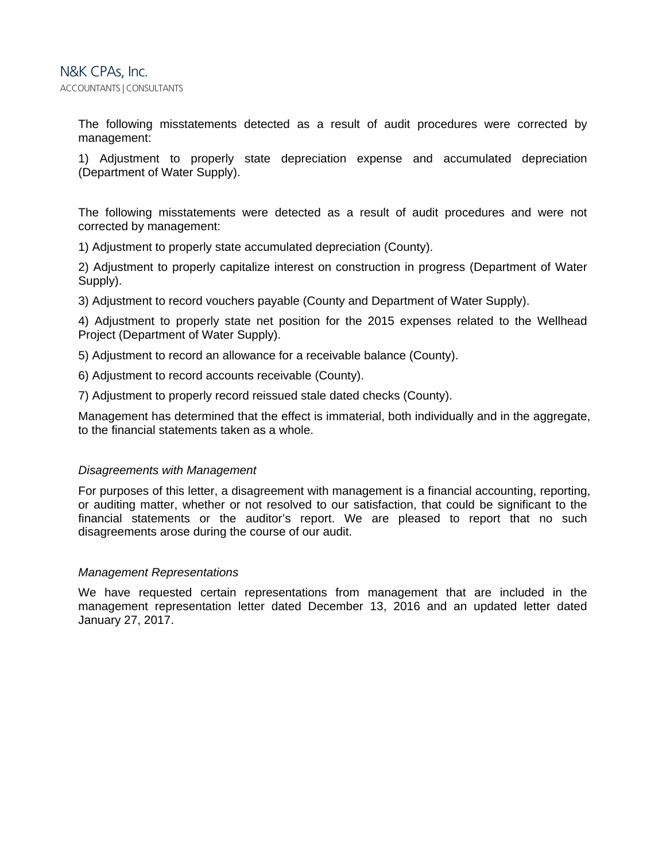The following misstatements detected as a result of audit procedures were corrected by management:

1) Adjustment to properly state depreciation expense and accumulated depreciation (Department of Water Supply).

The following misstatements were detected as a result of audit procedures and were not corrected by management:

1) Adjustment to properly state accumulated depreciation (County).

2) Adjustment to properly capitalize interest on construction in progress (Department of Water Supply).

3) Adjustment to record vouchers payable (County and Department of Water Supply).

4) Adjustment to properly state net position for the 2015 expenses related to the Wellhead Project (Department of Water Supply).

5) Adjustment to record an allowance for a receivable balance (County).

6) Adjustment to record accounts receivable (County).

7) Adjustment to properly record reissued stale dated checks (County).

Management has determined that the effect is immaterial, both individually and in the aggregate, to the financial statements taken as a whole.

## *Disagreements with Management*

For purposes of this letter, a disagreement with management is a financial accounting, reporting, or auditing matter, whether or not resolved to our satisfaction, that could be significant to the financial statements or the auditor's report. We are pleased to report that no such disagreements arose during the course of our audit.

#### *Management Representations*

We have requested certain representations from management that are included in the management representation letter dated December 13, 2016 and an updated letter dated January 27, 2017.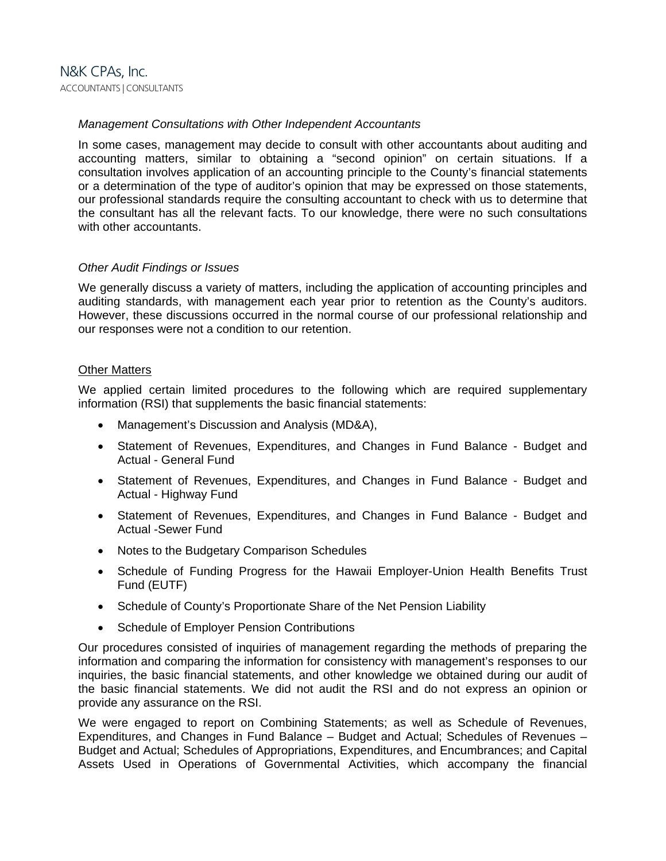# *Management Consultations with Other Independent Accountants*

In some cases, management may decide to consult with other accountants about auditing and accounting matters, similar to obtaining a "second opinion" on certain situations. If a consultation involves application of an accounting principle to the County's financial statements or a determination of the type of auditor's opinion that may be expressed on those statements, our professional standards require the consulting accountant to check with us to determine that the consultant has all the relevant facts. To our knowledge, there were no such consultations with other accountants.

# *Other Audit Findings or Issues*

We generally discuss a variety of matters, including the application of accounting principles and auditing standards, with management each year prior to retention as the County's auditors. However, these discussions occurred in the normal course of our professional relationship and our responses were not a condition to our retention.

# **Other Matters**

We applied certain limited procedures to the following which are required supplementary information (RSI) that supplements the basic financial statements:

- Management's Discussion and Analysis (MD&A),
- Statement of Revenues, Expenditures, and Changes in Fund Balance Budget and Actual - General Fund
- Statement of Revenues, Expenditures, and Changes in Fund Balance Budget and Actual - Highway Fund
- Statement of Revenues, Expenditures, and Changes in Fund Balance Budget and Actual -Sewer Fund
- Notes to the Budgetary Comparison Schedules
- Schedule of Funding Progress for the Hawaii Employer-Union Health Benefits Trust Fund (EUTF)
- Schedule of County's Proportionate Share of the Net Pension Liability
- Schedule of Employer Pension Contributions

Our procedures consisted of inquiries of management regarding the methods of preparing the information and comparing the information for consistency with management's responses to our inquiries, the basic financial statements, and other knowledge we obtained during our audit of the basic financial statements. We did not audit the RSI and do not express an opinion or provide any assurance on the RSI.

We were engaged to report on Combining Statements; as well as Schedule of Revenues, Expenditures, and Changes in Fund Balance – Budget and Actual; Schedules of Revenues – Budget and Actual; Schedules of Appropriations, Expenditures, and Encumbrances; and Capital Assets Used in Operations of Governmental Activities, which accompany the financial